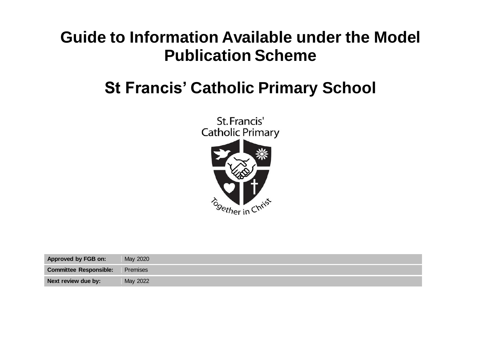## **Guide to Information Available under the Model Publication Scheme**

## **St Francis' Catholic Primary School**



| Approved by FGB on:           | May 2020 |
|-------------------------------|----------|
| <b>Committee Responsible:</b> | Premises |
| Next review due by:           | May 2022 |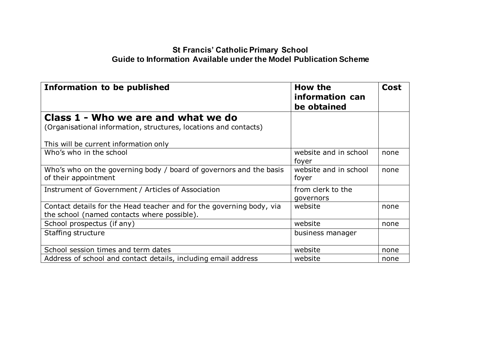## **St Francis' Catholic Primary School Guide to Information Available under the Model Publication Scheme**

| <b>Information to be published</b>                                                                                                               | How the<br>information can<br>be obtained | <b>Cost</b> |
|--------------------------------------------------------------------------------------------------------------------------------------------------|-------------------------------------------|-------------|
| Class 1 - Who we are and what we do<br>(Organisational information, structures, locations and contacts)<br>This will be current information only |                                           |             |
| Who's who in the school                                                                                                                          | website and in school<br>foyer            | none        |
| Who's who on the governing body / board of governors and the basis<br>of their appointment                                                       | website and in school<br>foyer            | none        |
| Instrument of Government / Articles of Association                                                                                               | from clerk to the<br>governors            |             |
| Contact details for the Head teacher and for the governing body, via<br>the school (named contacts where possible).                              | website                                   | none        |
| School prospectus (if any)                                                                                                                       | website                                   | none        |
| Staffing structure                                                                                                                               | business manager                          |             |
| School session times and term dates                                                                                                              | website                                   | none        |
| Address of school and contact details, including email address                                                                                   | website                                   | none        |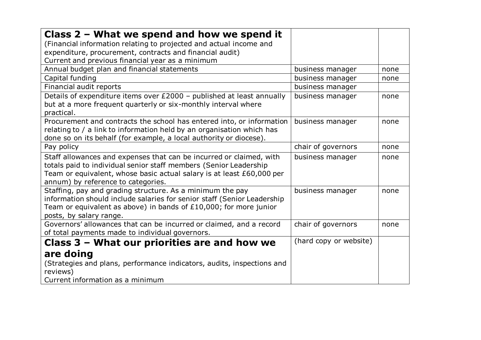| Class $2$ – What we spend and how we spend it                           |                        |      |
|-------------------------------------------------------------------------|------------------------|------|
| (Financial information relating to projected and actual income and      |                        |      |
| expenditure, procurement, contracts and financial audit)                |                        |      |
| Current and previous financial year as a minimum                        |                        |      |
| Annual budget plan and financial statements                             | business manager       | none |
| Capital funding                                                         | business manager       | none |
| Financial audit reports                                                 | business manager       |      |
| Details of expenditure items over £2000 - published at least annually   | business manager       | none |
| but at a more frequent quarterly or six-monthly interval where          |                        |      |
| practical.                                                              |                        |      |
| Procurement and contracts the school has entered into, or information   | business manager       | none |
| relating to / a link to information held by an organisation which has   |                        |      |
| done so on its behalf (for example, a local authority or diocese).      |                        |      |
| Pay policy                                                              | chair of governors     | none |
| Staff allowances and expenses that can be incurred or claimed, with     | business manager       | none |
| totals paid to individual senior staff members (Senior Leadership       |                        |      |
| Team or equivalent, whose basic actual salary is at least £60,000 per   |                        |      |
| annum) by reference to categories.                                      |                        |      |
| Staffing, pay and grading structure. As a minimum the pay               | business manager       | none |
| information should include salaries for senior staff (Senior Leadership |                        |      |
| Team or equivalent as above) in bands of $£10,000$ ; for more junior    |                        |      |
| posts, by salary range.                                                 |                        |      |
| Governors' allowances that can be incurred or claimed, and a record     | chair of governors     | none |
| of total payments made to individual governors.                         |                        |      |
| Class 3 – What our priorities are and how we                            | (hard copy or website) |      |
| are doing                                                               |                        |      |
| (Strategies and plans, performance indicators, audits, inspections and  |                        |      |
| reviews)                                                                |                        |      |
| Current information as a minimum                                        |                        |      |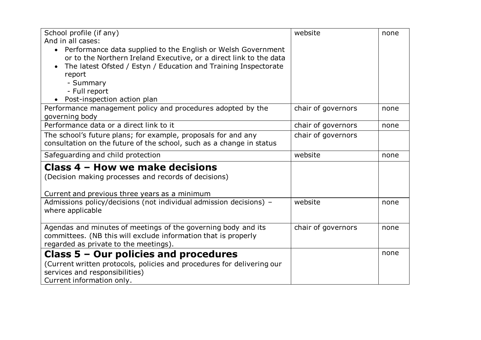| School profile (if any)                                                   | website            | none |
|---------------------------------------------------------------------------|--------------------|------|
| And in all cases:                                                         |                    |      |
| Performance data supplied to the English or Welsh Government<br>$\bullet$ |                    |      |
| or to the Northern Ireland Executive, or a direct link to the data        |                    |      |
| The latest Ofsted / Estyn / Education and Training Inspectorate           |                    |      |
| report                                                                    |                    |      |
| - Summary                                                                 |                    |      |
| - Full report                                                             |                    |      |
| Post-inspection action plan                                               |                    |      |
| Performance management policy and procedures adopted by the               | chair of governors | none |
| governing body                                                            |                    |      |
| Performance data or a direct link to it                                   | chair of governors | none |
| The school's future plans; for example, proposals for and any             | chair of governors |      |
| consultation on the future of the school, such as a change in status      |                    |      |
| Safeguarding and child protection                                         | website            | none |
| Class 4 – How we make decisions                                           |                    |      |
| (Decision making processes and records of decisions)                      |                    |      |
|                                                                           |                    |      |
| Current and previous three years as a minimum                             |                    |      |
| Admissions policy/decisions (not individual admission decisions) -        | website            | none |
| where applicable                                                          |                    |      |
|                                                                           |                    |      |
| Agendas and minutes of meetings of the governing body and its             | chair of governors | none |
| committees. (NB this will exclude information that is properly            |                    |      |
| regarded as private to the meetings).                                     |                    |      |
| Class 5 - Our policies and procedures                                     |                    | none |
| (Current written protocols, policies and procedures for delivering our    |                    |      |
| services and responsibilities)                                            |                    |      |
| Current information only.                                                 |                    |      |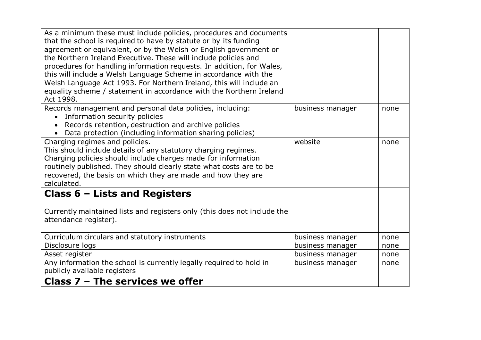| As a minimum these must include policies, procedures and documents<br>that the school is required to have by statute or by its funding<br>agreement or equivalent, or by the Welsh or English government or<br>the Northern Ireland Executive. These will include policies and<br>procedures for handling information requests. In addition, for Wales,<br>this will include a Welsh Language Scheme in accordance with the<br>Welsh Language Act 1993. For Northern Ireland, this will include an<br>equality scheme / statement in accordance with the Northern Ireland<br>Act 1998. |                  |      |
|----------------------------------------------------------------------------------------------------------------------------------------------------------------------------------------------------------------------------------------------------------------------------------------------------------------------------------------------------------------------------------------------------------------------------------------------------------------------------------------------------------------------------------------------------------------------------------------|------------------|------|
| Records management and personal data policies, including:<br>Information security policies<br>Records retention, destruction and archive policies<br>Data protection (including information sharing policies)                                                                                                                                                                                                                                                                                                                                                                          | business manager | none |
| Charging regimes and policies.<br>This should include details of any statutory charging regimes.<br>Charging policies should include charges made for information<br>routinely published. They should clearly state what costs are to be<br>recovered, the basis on which they are made and how they are<br>calculated.                                                                                                                                                                                                                                                                | website          | none |
| Class $6$ – Lists and Registers<br>Currently maintained lists and registers only (this does not include the<br>attendance register).                                                                                                                                                                                                                                                                                                                                                                                                                                                   |                  |      |
| Curriculum circulars and statutory instruments                                                                                                                                                                                                                                                                                                                                                                                                                                                                                                                                         | business manager | none |
| Disclosure logs                                                                                                                                                                                                                                                                                                                                                                                                                                                                                                                                                                        | business manager | none |
| Asset register                                                                                                                                                                                                                                                                                                                                                                                                                                                                                                                                                                         | business manager | none |
| Any information the school is currently legally required to hold in<br>publicly available registers                                                                                                                                                                                                                                                                                                                                                                                                                                                                                    | business manager | none |
| Class $7$ – The services we offer                                                                                                                                                                                                                                                                                                                                                                                                                                                                                                                                                      |                  |      |